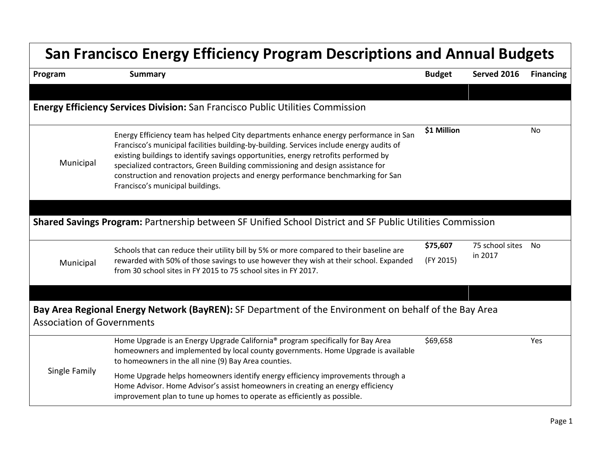| <b>San Francisco Energy Efficiency Program Descriptions and Annual Budgets</b> |                                                                                                                                                                                                                                                                                                                                                                                                                                                                                    |                       |                               |                  |  |  |
|--------------------------------------------------------------------------------|------------------------------------------------------------------------------------------------------------------------------------------------------------------------------------------------------------------------------------------------------------------------------------------------------------------------------------------------------------------------------------------------------------------------------------------------------------------------------------|-----------------------|-------------------------------|------------------|--|--|
| Program                                                                        | <b>Summary</b>                                                                                                                                                                                                                                                                                                                                                                                                                                                                     | <b>Budget</b>         | Served 2016                   | <b>Financing</b> |  |  |
|                                                                                |                                                                                                                                                                                                                                                                                                                                                                                                                                                                                    |                       |                               |                  |  |  |
|                                                                                | <b>Energy Efficiency Services Division:</b> San Francisco Public Utilities Commission                                                                                                                                                                                                                                                                                                                                                                                              |                       |                               |                  |  |  |
| Municipal                                                                      | Energy Efficiency team has helped City departments enhance energy performance in San<br>Francisco's municipal facilities building-by-building. Services include energy audits of<br>existing buildings to identify savings opportunities, energy retrofits performed by<br>specialized contractors, Green Building commissioning and design assistance for<br>construction and renovation projects and energy performance benchmarking for San<br>Francisco's municipal buildings. | \$1 Million           |                               | No.              |  |  |
|                                                                                | Shared Savings Program: Partnership between SF Unified School District and SF Public Utilities Commission                                                                                                                                                                                                                                                                                                                                                                          |                       |                               |                  |  |  |
| Municipal                                                                      | Schools that can reduce their utility bill by 5% or more compared to their baseline are<br>rewarded with 50% of those savings to use however they wish at their school. Expanded<br>from 30 school sites in FY 2015 to 75 school sites in FY 2017.                                                                                                                                                                                                                                 | \$75,607<br>(FY 2015) | 75 school sites No<br>in 2017 |                  |  |  |
|                                                                                |                                                                                                                                                                                                                                                                                                                                                                                                                                                                                    |                       |                               |                  |  |  |
| <b>Association of Governments</b>                                              | Bay Area Regional Energy Network (BayREN): SF Department of the Environment on behalf of the Bay Area                                                                                                                                                                                                                                                                                                                                                                              |                       |                               |                  |  |  |
| Single Family                                                                  | Home Upgrade is an Energy Upgrade California <sup>®</sup> program specifically for Bay Area<br>homeowners and implemented by local county governments. Home Upgrade is available<br>to homeowners in the all nine (9) Bay Area counties.                                                                                                                                                                                                                                           | \$69,658              |                               | Yes              |  |  |
|                                                                                | Home Upgrade helps homeowners identify energy efficiency improvements through a<br>Home Advisor. Home Advisor's assist homeowners in creating an energy efficiency<br>improvement plan to tune up homes to operate as efficiently as possible.                                                                                                                                                                                                                                     |                       |                               |                  |  |  |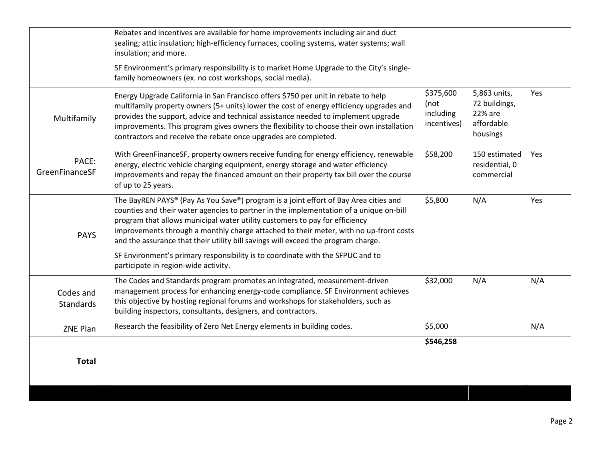| <b>Total</b>                  |                                                                                                                                                                                                                                                                                                                                                                                                                                             |                                               |                                                                    |     |
|-------------------------------|---------------------------------------------------------------------------------------------------------------------------------------------------------------------------------------------------------------------------------------------------------------------------------------------------------------------------------------------------------------------------------------------------------------------------------------------|-----------------------------------------------|--------------------------------------------------------------------|-----|
| ZNE Plan                      | Research the feasibility of Zero Net Energy elements in building codes.                                                                                                                                                                                                                                                                                                                                                                     | \$546,258                                     |                                                                    | N/A |
| Codes and<br><b>Standards</b> | The Codes and Standards program promotes an integrated, measurement-driven<br>management process for enhancing energy-code compliance. SF Environment achieves<br>this objective by hosting regional forums and workshops for stakeholders, such as<br>building inspectors, consultants, designers, and contractors.                                                                                                                        | \$32,000<br>\$5,000                           | N/A                                                                | N/A |
|                               | SF Environment's primary responsibility is to coordinate with the SFPUC and to<br>participate in region-wide activity.                                                                                                                                                                                                                                                                                                                      |                                               |                                                                    |     |
| <b>PAYS</b>                   | The BayREN PAYS® (Pay As You Save®) program is a joint effort of Bay Area cities and<br>counties and their water agencies to partner in the implementation of a unique on-bill<br>program that allows municipal water utility customers to pay for efficiency<br>improvements through a monthly charge attached to their meter, with no up-front costs<br>and the assurance that their utility bill savings will exceed the program charge. | \$5,800                                       | N/A                                                                | Yes |
| PACE:<br>GreenFinanceSF       | With GreenFinanceSF, property owners receive funding for energy efficiency, renewable<br>energy, electric vehicle charging equipment, energy storage and water efficiency<br>improvements and repay the financed amount on their property tax bill over the course<br>of up to 25 years.                                                                                                                                                    | \$58,200                                      | 150 estimated<br>residential, 0<br>commercial                      | Yes |
| Multifamily                   | Energy Upgrade California in San Francisco offers \$750 per unit in rebate to help<br>multifamily property owners (5+ units) lower the cost of energy efficiency upgrades and<br>provides the support, advice and technical assistance needed to implement upgrade<br>improvements. This program gives owners the flexibility to choose their own installation<br>contractors and receive the rebate once upgrades are completed.           | \$375,600<br>(not<br>including<br>incentives) | 5,863 units,<br>72 buildings,<br>22% are<br>affordable<br>housings | Yes |
|                               | SF Environment's primary responsibility is to market Home Upgrade to the City's single-<br>family homeowners (ex. no cost workshops, social media).                                                                                                                                                                                                                                                                                         |                                               |                                                                    |     |
|                               | Rebates and incentives are available for home improvements including air and duct<br>sealing; attic insulation; high-efficiency furnaces, cooling systems, water systems; wall<br>insulation; and more.                                                                                                                                                                                                                                     |                                               |                                                                    |     |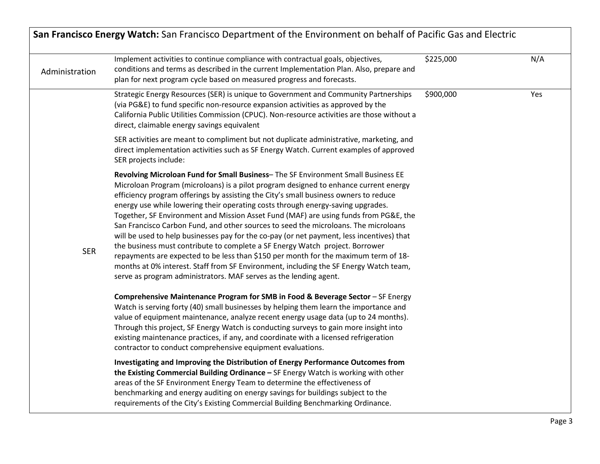| Administration | Implement activities to continue compliance with contractual goals, objectives,<br>conditions and terms as described in the current Implementation Plan. Also, prepare and<br>plan for next program cycle based on measured progress and forecasts.                                                                                                                                                                                                                                                                                                                                                                                                                                                                                                                                                                                                                                                                                                                  | \$225,000 | N/A |
|----------------|----------------------------------------------------------------------------------------------------------------------------------------------------------------------------------------------------------------------------------------------------------------------------------------------------------------------------------------------------------------------------------------------------------------------------------------------------------------------------------------------------------------------------------------------------------------------------------------------------------------------------------------------------------------------------------------------------------------------------------------------------------------------------------------------------------------------------------------------------------------------------------------------------------------------------------------------------------------------|-----------|-----|
|                | Strategic Energy Resources (SER) is unique to Government and Community Partnerships<br>(via PG&E) to fund specific non-resource expansion activities as approved by the<br>California Public Utilities Commission (CPUC). Non-resource activities are those without a<br>direct, claimable energy savings equivalent                                                                                                                                                                                                                                                                                                                                                                                                                                                                                                                                                                                                                                                 | \$900,000 | Yes |
|                | SER activities are meant to compliment but not duplicate administrative, marketing, and<br>direct implementation activities such as SF Energy Watch. Current examples of approved<br>SER projects include:                                                                                                                                                                                                                                                                                                                                                                                                                                                                                                                                                                                                                                                                                                                                                           |           |     |
| <b>SER</b>     | Revolving Microloan Fund for Small Business-The SF Environment Small Business EE<br>Microloan Program (microloans) is a pilot program designed to enhance current energy<br>efficiency program offerings by assisting the City's small business owners to reduce<br>energy use while lowering their operating costs through energy-saving upgrades.<br>Together, SF Environment and Mission Asset Fund (MAF) are using funds from PG&E, the<br>San Francisco Carbon Fund, and other sources to seed the microloans. The microloans<br>will be used to help businesses pay for the co-pay (or net payment, less incentives) that<br>the business must contribute to complete a SF Energy Watch project. Borrower<br>repayments are expected to be less than \$150 per month for the maximum term of 18-<br>months at 0% interest. Staff from SF Environment, including the SF Energy Watch team,<br>serve as program administrators. MAF serves as the lending agent. |           |     |
|                | Comprehensive Maintenance Program for SMB in Food & Beverage Sector - SF Energy<br>Watch is serving forty (40) small businesses by helping them learn the importance and<br>value of equipment maintenance, analyze recent energy usage data (up to 24 months).<br>Through this project, SF Energy Watch is conducting surveys to gain more insight into<br>existing maintenance practices, if any, and coordinate with a licensed refrigeration<br>contractor to conduct comprehensive equipment evaluations.                                                                                                                                                                                                                                                                                                                                                                                                                                                       |           |     |
|                | Investigating and Improving the Distribution of Energy Performance Outcomes from<br>the Existing Commercial Building Ordinance - SF Energy Watch is working with other<br>areas of the SF Environment Energy Team to determine the effectiveness of<br>benchmarking and energy auditing on energy savings for buildings subject to the<br>requirements of the City's Existing Commercial Building Benchmarking Ordinance.                                                                                                                                                                                                                                                                                                                                                                                                                                                                                                                                            |           |     |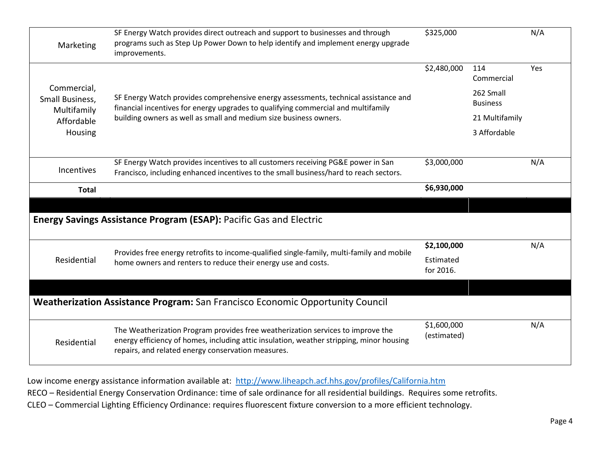| Marketing                                                              | SF Energy Watch provides direct outreach and support to businesses and through<br>programs such as Step Up Power Down to help identify and implement energy upgrade<br>improvements.                                                          | \$325,000                             |                                                                                     | N/A |
|------------------------------------------------------------------------|-----------------------------------------------------------------------------------------------------------------------------------------------------------------------------------------------------------------------------------------------|---------------------------------------|-------------------------------------------------------------------------------------|-----|
| Commercial,<br>Small Business,<br>Multifamily<br>Affordable<br>Housing | SF Energy Watch provides comprehensive energy assessments, technical assistance and<br>financial incentives for energy upgrades to qualifying commercial and multifamily<br>building owners as well as small and medium size business owners. | \$2,480,000                           | 114<br>Commercial<br>262 Small<br><b>Business</b><br>21 Multifamily<br>3 Affordable | Yes |
| Incentives                                                             | SF Energy Watch provides incentives to all customers receiving PG&E power in San<br>Francisco, including enhanced incentives to the small business/hard to reach sectors.                                                                     | \$3,000,000                           |                                                                                     | N/A |
| <b>Total</b>                                                           |                                                                                                                                                                                                                                               | \$6,930,000                           |                                                                                     |     |
|                                                                        | <b>Energy Savings Assistance Program (ESAP): Pacific Gas and Electric</b>                                                                                                                                                                     |                                       |                                                                                     |     |
| Residential                                                            | Provides free energy retrofits to income-qualified single-family, multi-family and mobile<br>home owners and renters to reduce their energy use and costs.                                                                                    | \$2,100,000<br>Estimated<br>for 2016. |                                                                                     | N/A |
|                                                                        | Weatherization Assistance Program: San Francisco Economic Opportunity Council                                                                                                                                                                 |                                       |                                                                                     |     |
|                                                                        | The Weatherization Program provides free weatherization services to improve the                                                                                                                                                               | \$1,600,000<br>(estimated)            |                                                                                     | N/A |

Low income energy assistance information available at: <http://www.liheapch.acf.hhs.gov/profiles/California.htm>

RECO – Residential Energy Conservation Ordinance: time of sale ordinance for all residential buildings. Requires some retrofits.

CLEO – Commercial Lighting Efficiency Ordinance: requires fluorescent fixture conversion to a more efficient technology.